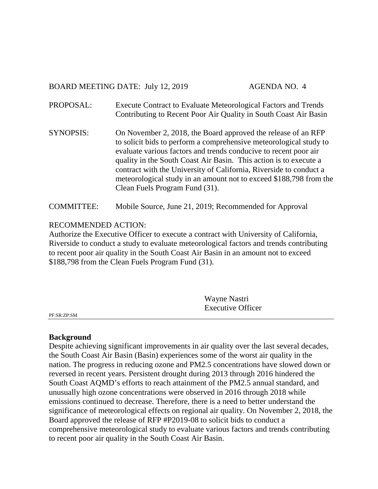BOARD MEETING DATE: July 12, 2019 AGENDA NO. 4

- PROPOSAL: Execute Contract to Evaluate Meteorological Factors and Trends Contributing to Recent Poor Air Quality in South Coast Air Basin
- SYNOPSIS: On November 2, 2018, the Board approved the release of an RFP to solicit bids to perform a comprehensive meteorological study to evaluate various factors and trends conducive to recent poor air quality in the South Coast Air Basin. This action is to execute a contract with the University of California, Riverside to conduct a meteorological study in an amount not to exceed \$188,798 from the Clean Fuels Program Fund (31).

COMMITTEE: Mobile Source, June 21, 2019; Recommended for Approval

# RECOMMENDED ACTION:

Authorize the Executive Officer to execute a contract with University of California, Riverside to conduct a study to evaluate meteorological factors and trends contributing to recent poor air quality in the South Coast Air Basin in an amount not to exceed \$188,798 from the Clean Fuels Program Fund (31).

> Wayne Nastri Executive Officer

PF:SR:ZP:SM

## **Background**

Despite achieving significant improvements in air quality over the last several decades, the South Coast Air Basin (Basin) experiences some of the worst air quality in the nation. The progress in reducing ozone and PM2.5 concentrations have slowed down or reversed in recent years. Persistent drought during 2013 through 2016 hindered the South Coast AQMD's efforts to reach attainment of the PM2.5 annual standard, and unusually high ozone concentrations were observed in 2016 through 2018 while emissions continued to decrease. Therefore, there is a need to better understand the significance of meteorological effects on regional air quality. On November 2, 2018, the Board approved the release of RFP #P2019-08 to solicit bids to conduct a comprehensive meteorological study to evaluate various factors and trends contributing to recent poor air quality in the South Coast Air Basin.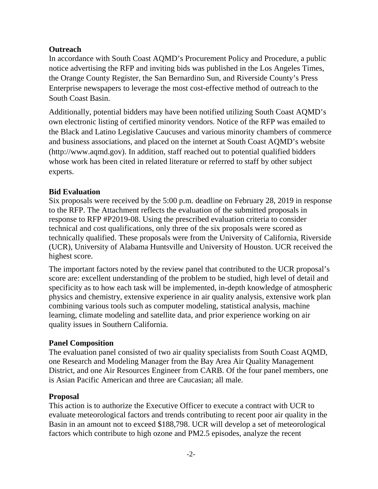## **Outreach**

In accordance with South Coast AQMD's Procurement Policy and Procedure, a public notice advertising the RFP and inviting bids was published in the Los Angeles Times, the Orange County Register, the San Bernardino Sun, and Riverside County's Press Enterprise newspapers to leverage the most cost-effective method of outreach to the South Coast Basin.

Additionally, potential bidders may have been notified utilizing South Coast AQMD's own electronic listing of certified minority vendors. Notice of the RFP was emailed to the Black and Latino Legislative Caucuses and various minority chambers of commerce and business associations, and placed on the internet at South Coast AQMD's website (http://www.aqmd.gov). In addition, staff reached out to potential qualified bidders whose work has been cited in related literature or referred to staff by other subject experts.

# **Bid Evaluation**

Six proposals were received by the 5:00 p.m. deadline on February 28, 2019 in response to the RFP. The Attachment reflects the evaluation of the submitted proposals in response to RFP #P2019-08. Using the prescribed evaluation criteria to consider technical and cost qualifications, only three of the six proposals were scored as technically qualified. These proposals were from the University of California, Riverside (UCR), University of Alabama Huntsville and University of Houston. UCR received the highest score.

The important factors noted by the review panel that contributed to the UCR proposal's score are: excellent understanding of the problem to be studied, high level of detail and specificity as to how each task will be implemented, in-depth knowledge of atmospheric physics and chemistry, extensive experience in air quality analysis, extensive work plan combining various tools such as computer modeling, statistical analysis, machine learning, climate modeling and satellite data, and prior experience working on air quality issues in Southern California.

## **Panel Composition**

The evaluation panel consisted of two air quality specialists from South Coast AQMD, one Research and Modeling Manager from the Bay Area Air Quality Management District, and one Air Resources Engineer from CARB. Of the four panel members, one is Asian Pacific American and three are Caucasian; all male.

## **Proposal**

This action is to authorize the Executive Officer to execute a contract with UCR to evaluate meteorological factors and trends contributing to recent poor air quality in the Basin in an amount not to exceed \$188,798. UCR will develop a set of meteorological factors which contribute to high ozone and PM2.5 episodes, analyze the recent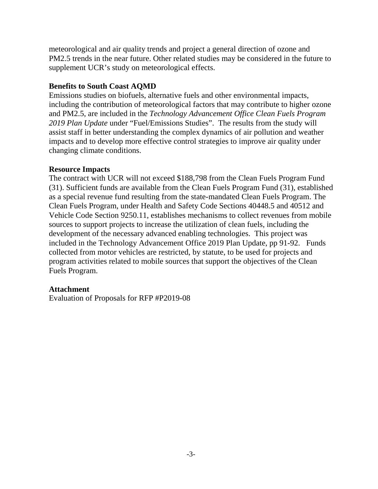meteorological and air quality trends and project a general direction of ozone and PM2.5 trends in the near future. Other related studies may be considered in the future to supplement UCR's study on meteorological effects.

#### **Benefits to South Coast AQMD**

Emissions studies on biofuels, alternative fuels and other environmental impacts, including the contribution of meteorological factors that may contribute to higher ozone and PM2.5, are included in the *Technology Advancement Office Clean Fuels Program 2019 Plan Update* under "Fuel/Emissions Studies". The results from the study will assist staff in better understanding the complex dynamics of air pollution and weather impacts and to develop more effective control strategies to improve air quality under changing climate conditions.

## **Resource Impacts**

The contract with UCR will not exceed \$188,798 from the Clean Fuels Program Fund (31). Sufficient funds are available from the Clean Fuels Program Fund (31), established as a special revenue fund resulting from the state-mandated Clean Fuels Program. The Clean Fuels Program, under Health and Safety Code Sections 40448.5 and 40512 and Vehicle Code Section 9250.11, establishes mechanisms to collect revenues from mobile sources to support projects to increase the utilization of clean fuels, including the development of the necessary advanced enabling technologies. This project was included in the Technology Advancement Office 2019 Plan Update, pp 91-92. Funds collected from motor vehicles are restricted, by statute, to be used for projects and program activities related to mobile sources that support the objectives of the Clean Fuels Program.

## **Attachment**

Evaluation of Proposals for RFP #P2019-08